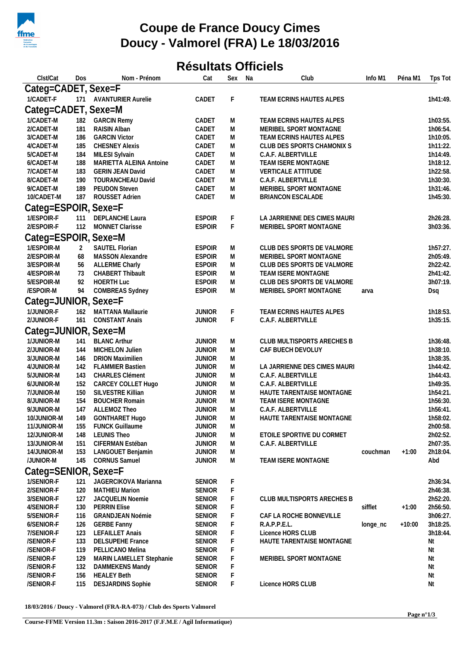

## **Coupe de France Doucy Cimes Doucy - Valmorel (FRA) Le 18/03/2016**

## **Résultats Officiels**

| Clst/Cat             | Dos            | Nom - Prénom             | Cat                            | Sex         | Na | Club                         | Info M1  | Péna M1  | Tps Tot  |
|----------------------|----------------|--------------------------|--------------------------------|-------------|----|------------------------------|----------|----------|----------|
| Categ=CADET, Sexe=F  |                |                          |                                |             |    |                              |          |          |          |
| 1/CADET-F            |                | 171 AVANTURIER Aurelie   | CADET                          | F           |    | TEAM ECRINS HAUTES ALPES     |          |          | 1h41:49. |
|                      |                |                          |                                |             |    |                              |          |          |          |
| Categ=CADET, Sexe=M  |                |                          |                                |             |    |                              |          |          |          |
| 1/CADET-M            | 182            | <b>GARCIN Remy</b>       | CADET                          | M           |    | TEAM ECRINS HAUTES ALPES     |          |          | 1h03:55. |
| 2/CADET-M            | 181            | RAISIN Alban             | CADET                          | M           |    | MERIBEL SPORT MONTAGNE       |          |          | 1h06:54. |
| 3/CADET-M            | 186            | <b>GARCIN Victor</b>     | CADET                          | M           |    | TEAM ECRINS HAUTES ALPES     |          |          | 1h10:05. |
| 4/CADET-M            | 185            | <b>CHESNEY Alexis</b>    | CADET                          | M           |    | CLUB DES SPORTS CHAMONIX S   |          |          | 1h11:22. |
| 5/CADET-M            | 184            | MILESI Sylvain           | CADET                          | M           |    | C.A.F. ALBERTVILLE           |          |          | 1h14:49. |
| 6/CADET-M            | 188            | MARIETTA ALEINA Antoine  | CADET                          | M           |    | TEAM ISERE MONTAGNE          |          |          | 1h18:12. |
| 7/CADET-M            | 183            | <b>GERIN JEAN David</b>  | CADET                          | M           |    | VERTICALE ATTITUDE           |          |          | 1h22:58. |
| 8/CADET-M            | 190            | TOURANCHEAU David        | CADET                          | M           |    | C.A.F. ALBERTVILLE           |          |          | 1h30:30. |
| 9/CADET-M            | 189            | PEUDON Steven            | CADET                          | M           |    | MERIBEL SPORT MONTAGNE       |          |          | 1h31:46. |
| 10/CADET-M           | 187            | ROUSSET Adrien           | CADET                          | M           |    | BRIANCON ESCALADE            |          |          | 1h45:30. |
| Categ=ESPOIR, Sexe=F |                |                          |                                |             |    |                              |          |          |          |
| 1/ESPOIR-F           | 111            | DEPLANCHE Laura          | <b>ESPOIR</b>                  | F           |    | LA JARRIENNE DES CIMES MAURI |          |          | 2h26:28. |
| 2/ESPOIR-F           | 112            | MONNET Clarisse          | <b>ESPOIR</b>                  | $\mathsf F$ |    | MERIBEL SPORT MONTAGNE       |          |          | 3h03:36. |
| Categ=ESPOIR, Sexe=M |                |                          |                                |             |    |                              |          |          |          |
|                      |                |                          |                                |             |    |                              |          |          |          |
| 1/ESPOIR-M           | $\overline{2}$ | SAUTEL Florian           | <b>ESPOIR</b>                  | M           |    | CLUB DES SPORTS DE VALMORE   |          |          | 1h57:27. |
| 2/ESPOIR-M           | 68             | MASSON Alexandre         | <b>ESPOIR</b>                  | M           |    | MERIBEL SPORT MONTAGNE       |          |          | 2h05:49. |
| 3/ESPOIR-M           | 56             | <b>ALLERME Charly</b>    | <b>ESPOIR</b>                  | M           |    | CLUB DES SPORTS DE VALMORE   |          |          | 2h22:42. |
| 4/ESPOIR-M           | 73             | CHABERT Thibault         | <b>ESPOIR</b>                  | M           |    | TEAM ISERE MONTAGNE          |          |          | 2h41:42. |
| 5/ESPOIR-M           | 92             | HOERTH Luc               | <b>ESPOIR</b>                  | M           |    | CLUB DES SPORTS DE VALMORE   |          |          | 3h07:19. |
| /ESPOIR-M            | 94             | COMBREAS Sydney          | <b>ESPOIR</b>                  | M           |    | MERIBEL SPORT MONTAGNE       | arva     |          | Dsq      |
| Categ=JUNIOR, Sexe=F |                |                          |                                |             |    |                              |          |          |          |
| 1/JUNIOR-F           | 162            | MATTANA Mallaurie        | <b>JUNIOR</b>                  | F           |    | TEAM ECRINS HAUTES ALPES     |          |          | 1h18:53. |
| 2/JUNIOR-F           | 161            | <b>CONSTANT Anaïs</b>    | <b>JUNIOR</b>                  | $\mathsf F$ |    | C.A.F. ALBERTVILLE           |          |          | 1h35:15. |
| Categ=JUNIOR, Sexe=M |                |                          |                                |             |    |                              |          |          |          |
| 1/JUNIOR-M           | 141            | <b>BLANC Arthur</b>      |                                |             |    | CLUB MULTISPORTS ARECHES B   |          |          | 1h36:48. |
| 2/JUNIOR-M           | 144            | MICHELON Julien          | <b>JUNIOR</b><br><b>JUNIOR</b> | M<br>M      |    | CAF BUECH DEVOLUY            |          |          | 1h38:10. |
| 3/JUNIOR-M           | 146            | <b>DRION Maximilien</b>  | <b>JUNIOR</b>                  | M           |    |                              |          |          | 1h38:35. |
| 4/JUNIOR-M           | 142            | <b>FLAMMIER Bastien</b>  | <b>JUNIOR</b>                  | M           |    | LA JARRIENNE DES CIMES MAURI |          |          | 1h44:42. |
| 5/JUNIOR-M           | 143            | <b>CHARLES Clément</b>   | <b>JUNIOR</b>                  | M           |    | C.A.F. ALBERTVILLE           |          |          | 1h44:43. |
| 6/JUNIOR-M           | 152            | CARCEY COLLET Hugo       | <b>JUNIOR</b>                  | M           |    | C.A.F. ALBERTVILLE           |          |          | 1h49:35. |
| 7/JUNIOR-M           | 150            | SILVESTRE Killian        | <b>JUNIOR</b>                  | M           |    | HAUTE TARENTAISE MONTAGNE    |          |          | 1h54:21. |
| 8/JUNIOR-M           | 154            | <b>BOUCHER Romain</b>    | <b>JUNIOR</b>                  | M           |    | TEAM ISERE MONTAGNE          |          |          | 1h56:30. |
| 9/JUNIOR-M           | 147            | ALLEMOZ Theo             | <b>JUNIOR</b>                  | M           |    | C.A.F. ALBERTVILLE           |          |          | 1h56:41. |
| 10/JUNIOR-M          |                | 149 GONTHARET Hugo       | <b>JUNIOR</b>                  | M           |    | HAUTE TARENTAISE MONTAGNE    |          |          | 1h58:02. |
| 11/JUNIOR-M          | 155            | <b>FUNCK Guillaume</b>   | <b>JUNIOR</b>                  | M           |    |                              |          |          | 2h00:58. |
| 12/JUNIOR-M          | 148            | <b>LEUNIS Theo</b>       | <b>JUNIOR</b>                  | M           |    | ETOILE SPORTIVE DU CORMET    |          |          | 2h02:52. |
| 13/JUNIOR-M          | 151            | CIFERMAN Estéban         | <b>JUNIOR</b>                  | M           |    | C.A.F. ALBERTVILLE           |          |          | 2h07:35. |
| 14/JUNIOR-M          | 153            | LANGOUET Benjamin        | <b>JUNIOR</b>                  | M           |    |                              | couchman | $+1:00$  | 2h18:04. |
| /JUNIOR-M            | 145            | <b>CORNUS Samuel</b>     | <b>JUNIOR</b>                  | M           |    | TEAM ISERE MONTAGNE          |          |          | Abd      |
|                      |                |                          |                                |             |    |                              |          |          |          |
| Categ=SENIOR, Sexe=F |                |                          |                                |             |    |                              |          |          |          |
| 1/SENIOR-F           | 121            | JAGERCIKOVA Marianna     | <b>SENIOR</b>                  | F           |    |                              |          |          | 2h36:34. |
| 2/SENIOR-F           | 120            | <b>MATHIEU Marion</b>    | SENIOR                         | F           |    |                              |          |          | 2h46:38. |
| 3/SENIOR-F           | 127            | JACQUELIN Noemie         | <b>SENIOR</b>                  | F           |    | CLUB MULTISPORTS ARECHES B   |          |          | 2h52:20. |
| 4/SENIOR-F           | 130            | <b>PERRIN Elise</b>      | <b>SENIOR</b>                  | F           |    |                              | sifflet  | $+1:00$  | 2h56:50. |
| 5/SENIOR-F           | 116            | GRANDJEAN Noémie         | <b>SENIOR</b>                  | F           |    | CAF LA ROCHE BONNEVILLE      |          |          | 3h06:27. |
| 6/SENIOR-F           | 126            | <b>GERBE Fanny</b>       | <b>SENIOR</b>                  | F           |    | R.A.P.P.E.L.                 | longe_nc | $+10:00$ | 3h18:25. |
| 7/SENIOR-F           | 123            | <b>LEFAILLET Anais</b>   | <b>SENIOR</b>                  | F           |    | Licence HORS CLUB            |          |          | 3h18:44. |
| /SENIOR-F            | 133            | <b>DELSUPEHE France</b>  | <b>SENIOR</b>                  | F           |    | HAUTE TARENTAISE MONTAGNE    |          |          | Νt       |
| /SENIOR-F            | 119            | PELLICANO Melina         | <b>SENIOR</b>                  | F           |    |                              |          |          | Nt       |
| /SENIOR-F            | 129            | MARIN LAMELLET Stephanie | <b>SENIOR</b>                  | F           |    | MERIBEL SPORT MONTAGNE       |          |          | Nt       |
| /SENIOR-F            | 132            | DAMMEKENS Mandy          | <b>SENIOR</b>                  | F           |    |                              |          |          | Nt       |
| /SENIOR-F            | 156            | <b>HEALEY Beth</b>       | <b>SENIOR</b>                  | F           |    |                              |          |          | Νt       |
| /SENIOR-F            | 115            | <b>DESJARDINS Sophie</b> | SENIOR                         | F           |    | Licence HORS CLUB            |          |          | Nt       |

**18/03/2016 / Doucy - Valmorel (FRA-RA-073) / Club des Sports Valmorel**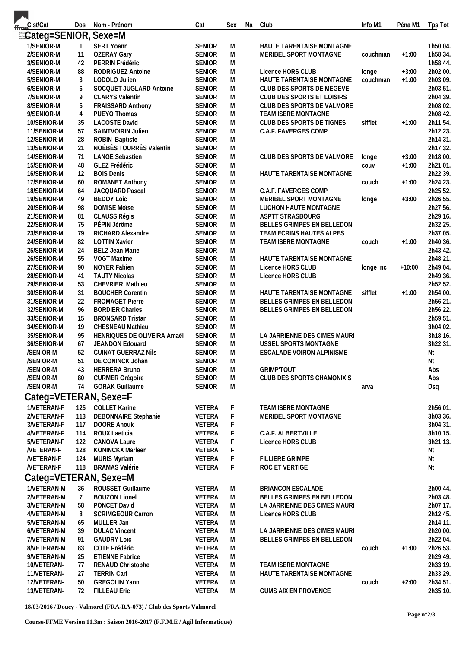| fme <sup>Clst/Cat</sup>    | Dos            | Nom - Prénom                                | Cat                            | Sex                    | Na | Club                         | Info M1       | Péna M1  | Tps Tot              |
|----------------------------|----------------|---------------------------------------------|--------------------------------|------------------------|----|------------------------------|---------------|----------|----------------------|
| Eateg=SENIOR, Sexe=M       |                |                                             |                                |                        |    |                              |               |          |                      |
| 1/SENIOR-M                 | $\overline{1}$ | SERT Yoann                                  | <b>SENIOR</b>                  | M                      |    | HAUTE TARENTAISE MONTAGNE    |               |          | 1h50:04.             |
| 2/SENIOR-M                 | 11             | <b>OZERAY Gary</b>                          | <b>SENIOR</b>                  | M                      |    | MERIBEL SPORT MONTAGNE       | couchman      | $+1:00$  | 1h58:34.             |
| 3/SENIOR-M                 | 42             | PERRIN Frédéric                             | <b>SENIOR</b>                  | M                      |    |                              |               |          | 1h58:44.             |
| 4/SENIOR-M                 | 88             | RODRIGUEZ Antoine                           | <b>SENIOR</b>                  | M                      |    | Licence HORS CLUB            | longe         | $+3:00$  | 2h02:00.             |
| 5/SENIOR-M                 | 3              | LODOLO Julien                               | <b>SENIOR</b>                  | M                      |    | HAUTE TARENTAISE MONTAGNE    | couchman      | $+1:00$  | 2h03:09.             |
| 6/SENIOR-M                 | 6              | SOCQUET JUGLARD Antoine                     | <b>SENIOR</b>                  | M                      |    | CLUB DES SPORTS DE MEGEVE    |               |          | 2h03:51.             |
| 7/SENIOR-M                 | 9              | <b>CLARYS Valentin</b>                      | <b>SENIOR</b>                  | ${\sf M}$              |    | CLUB DES SPORTS ET LOISIRS   |               |          | 2h04:39.             |
| 8/SENIOR-M                 | 5              | FRAISSARD Anthony                           | <b>SENIOR</b>                  | M                      |    | CLUB DES SPORTS DE VALMORE   |               |          | 2h08:02.             |
| 9/SENIOR-M                 | $\overline{4}$ | PUEYO Thomas                                | <b>SENIOR</b>                  | M                      |    | <b>TEAM ISERE MONTAGNE</b>   |               |          | 2h08:42.             |
| 10/SENIOR-M                | 35             | <b>LACOSTE David</b>                        | <b>SENIOR</b>                  | M                      |    | CLUB DES SPORTS DE TIGNES    | sifflet       | $+1:00$  | 2h11:54.             |
| 11/SENIOR-M                | 57             | SAINTVOIRIN Julien                          | <b>SENIOR</b>                  | M                      |    | C.A.F. FAVERGES COMP         |               |          | 2h12:23.             |
| 12/SENIOR-M                | 28             | ROBIN Baptiste<br>NOÉBÈS TOURRÈS Valentin   | <b>SENIOR</b>                  | M                      |    |                              |               |          | 2h14:31.             |
| 13/SENIOR-M<br>14/SENIOR-M | 21<br>71       | LANGE Sébastien                             | <b>SENIOR</b><br><b>SENIOR</b> | ${\sf M}$<br>${\sf M}$ |    | CLUB DES SPORTS DE VALMORE   |               | $+3:00$  | 2h17:32.<br>2h18:00. |
| 15/SENIOR-M                | 48             | GLEZ Frédéric                               | <b>SENIOR</b>                  | M                      |    |                              | longe<br>COUV | $+1:00$  | 2h21:01.             |
| 16/SENIOR-M                | 12             | <b>BOIS Denis</b>                           | <b>SENIOR</b>                  | M                      |    | HAUTE TARENTAISE MONTAGNE    |               |          | 2h22:39.             |
| 17/SENIOR-M                | 60             | <b>ROMANET Anthony</b>                      | <b>SENIOR</b>                  | M                      |    |                              | couch         | $+1:00$  | 2h24:23.             |
| 18/SENIOR-M                | 64             | JACQUARD Pascal                             | <b>SENIOR</b>                  | M                      |    | C.A.F. FAVERGES COMP         |               |          | 2h25:52.             |
| 19/SENIOR-M                | 49             | <b>BEDOY Loic</b>                           | <b>SENIOR</b>                  | M                      |    | MERIBEL SPORT MONTAGNE       | longe         | $+3:00$  | 2h26:55.             |
| 20/SENIOR-M                | 98             | <b>DOMISE Moïse</b>                         | <b>SENIOR</b>                  | ${\sf M}$              |    | LUCHON HAUTE MONTAGNE        |               |          | 2h27:56.             |
| 21/SENIOR-M                | 81             | CLAUSS Régis                                | <b>SENIOR</b>                  | ${\sf M}$              |    | ASPTT STRASBOURG             |               |          | 2h29:16.             |
| 22/SENIOR-M                | 75             | PÉPIN Jérôme                                | <b>SENIOR</b>                  | M                      |    | BELLES GRIMPES EN BELLEDON   |               |          | 2h32:25.             |
| 23/SENIOR-M                | 79             | RICHARD Alexandre                           | <b>SENIOR</b>                  | M                      |    | TEAM ECRINS HAUTES ALPES     |               |          | 2h37:05.             |
| 24/SENIOR-M                | 82             | <b>LOTTIN Xavier</b>                        | <b>SENIOR</b>                  | M                      |    | TEAM ISERE MONTAGNE          | couch         | $+1:00$  | 2h40:36.             |
| 25/SENIOR-M                | 24             | BELZ Jean Marie                             | <b>SENIOR</b>                  | ${\sf M}$              |    |                              |               |          | 2h43:42.             |
| 26/SENIOR-M                | 55             | VOGT Maxime                                 | <b>SENIOR</b>                  | M                      |    | HAUTE TARENTAISE MONTAGNE    |               |          | 2h48:21.             |
| 27/SENIOR-M                | 90             | <b>NOYER Fabien</b>                         | <b>SENIOR</b>                  | M                      |    | Licence HORS CLUB            | longe_nc      | $+10:00$ | 2h49:04.             |
| 28/SENIOR-M                | 41             | <b>TAUTY Nicolas</b>                        | <b>SENIOR</b>                  | M                      |    | Licence HORS CLUB            |               |          | 2h49:36.<br>2h52:52. |
| 29/SENIOR-M<br>30/SENIOR-M | 53<br>31       | CHEVRIER Mathieu<br><b>BOUCHER Corentin</b> | <b>SENIOR</b><br><b>SENIOR</b> | M                      |    | HAUTE TARENTAISE MONTAGNE    | sifflet       | $+1:00$  | 2h54:00.             |
| 31/SENIOR-M                | 22             | <b>FROMAGET Pierre</b>                      | <b>SENIOR</b>                  | M<br>M                 |    | BELLES GRIMPES EN BELLEDON   |               |          | 2h56:21.             |
| 32/SENIOR-M                | 96             | <b>BORDIER Charles</b>                      | <b>SENIOR</b>                  | M                      |    | BELLES GRIMPES EN BELLEDON   |               |          | 2h56:22.             |
| 33/SENIOR-M                | 15             | <b>BRONSARD Tristan</b>                     | <b>SENIOR</b>                  | M                      |    |                              |               |          | 2h59:51.             |
| 34/SENIOR-M                | 19             | <b>CHESNEAU Mathieu</b>                     | <b>SENIOR</b>                  | ${\sf M}$              |    |                              |               |          | 3h04:02.             |
| 35/SENIOR-M                | 95             | HENRIQUES DE OLIVEIRA Amaël                 | <b>SENIOR</b>                  | M                      |    | LA JARRIENNE DES CIMES MAURI |               |          | 3h18:16.             |
| 36/SENIOR-M                | 67             | JEANDON Edouard                             | <b>SENIOR</b>                  | M                      |    | USSEL SPORTS MONTAGNE        |               |          | 3h22:31.             |
| /SENIOR-M                  | 52             | <b>CUINAT GUERRAZ NIIS</b>                  | <b>SENIOR</b>                  | M                      |    | ESCALADE VOIRON ALPINISME    |               |          | Νt                   |
| /SENIOR-M                  | 51             | DE CONINCK Johan                            | <b>SENIOR</b>                  | M                      |    |                              |               |          | Nt                   |
| /SENIOR-M                  | 43             | <b>HERRERA Bruno</b>                        | <b>SENIOR</b>                  | M                      |    | <b>GRIMP'TOUT</b>            |               |          | Abs                  |
| /SENIOR-M                  | 80             | <b>CURMER Grégoire</b>                      | <b>SENIOR</b>                  | M                      |    | CLUB DES SPORTS CHAMONIX S   |               |          | Abs                  |
| /SENIOR-M                  | 74             | <b>GORAK Guillaume</b>                      | <b>SENIOR</b>                  | M                      |    |                              | arva          |          | Dsq                  |
|                            |                | Categ=VETERAN, Sexe=F                       |                                |                        |    |                              |               |          |                      |
| 1/VETERAN-F                | 125            | <b>COLLET Karine</b>                        | VETERA                         | F                      |    | TEAM ISERE MONTAGNE          |               |          | 2h56:01.             |
| 2/VETERAN-F                | 113            | <b>DEBONNAIRE</b> Stephanie                 | VETERA                         | F                      |    | MERIBEL SPORT MONTAGNE       |               |          | 3h03:36.             |
| 3/VETERAN-F                | 117            | DOORE Anouk                                 | VETERA                         | F                      |    |                              |               |          | 3h04:31.             |
| 4/VETERAN-F                | 114            | <b>ROUX Laeticia</b>                        | VETERA                         | $\mathsf F$            |    | C.A.F. ALBERTVILLE           |               |          | 3h10:15.             |
| 5/VETERAN-F                | 122            | CANOVA Laure                                | VETERA                         | $\mathsf F$            |    | Licence HORS CLUB            |               |          | 3h21:13.             |
| <b>NETERAN-F</b>           | 128            | KONINCKX Marleen                            | VETERA                         | $\mathsf F$            |    |                              |               |          | Nt                   |
| /VETERAN-F                 | 124            | <b>MURIS Myriam</b>                         | VETERA                         | F                      |    | <b>FILLIERE GRIMPE</b>       |               |          | Nt                   |
| /VETERAN-F                 | 118            | <b>BRAMAS Valérie</b>                       | VETERA                         | F                      |    | ROC ET VERTIGE               |               |          | Nt                   |
|                            |                | Categ=VETERAN, Sexe=M                       |                                |                        |    |                              |               |          |                      |
| 1/VETERAN-M                | 36             | ROUSSET Guillaume                           | VETERA                         | M                      |    | <b>BRIANCON ESCALADE</b>     |               |          | 2h00:44.             |
| 2/VETERAN-M                | $\overline{7}$ | <b>BOUZON Lionel</b>                        | VETERA                         | M                      |    | BELLES GRIMPES EN BELLEDON   |               |          | 2h03:48.             |
| 3/VETERAN-M                | 58             | PONCET David                                | VETERA                         | M                      |    | LA JARRIENNE DES CIMES MAURI |               |          | 2h07:17.             |
| 4/VETERAN-M                | 8              | <b>SCRIMGEOUR Carron</b>                    | VETERA                         | M                      |    | Licence HORS CLUB            |               |          | 2h12:45.             |
| 5/VETERAN-M                | 65             | MULLER Jan                                  | VETERA                         | M                      |    |                              |               |          | 2h14:11.             |
| 6/VETERAN-M                | 39             | <b>DULAC Vincent</b>                        | VETERA                         | M                      |    | LA JARRIENNE DES CIMES MAURI |               |          | 2h20:00.             |
| 7/VETERAN-M<br>8/VETERAN-M | 91<br>83       | <b>GAUDRY Loic</b><br>COTE Frédéric         | VETERA<br>VETERA               | M<br>M                 |    | BELLES GRIMPES EN BELLEDON   | couch         | $+1:00$  | 2h22:04.<br>2h26:53. |
| 9/VETERAN-M                | 25             | <b>ETIENNE Fabrice</b>                      | VETERA                         | M                      |    |                              |               |          | 2h29:49.             |
| 10/VETERAN-                | 77             | RENAUD Christophe                           | VETERA                         | M                      |    | TEAM ISERE MONTAGNE          |               |          | 2h33:19.             |
| 11/VETERAN-                | 27             | <b>TERRIN Carl</b>                          | VETERA                         | M                      |    | HAUTE TARENTAISE MONTAGNE    |               |          | 2h33:29.             |
| 12/VETERAN-                | 50             | <b>GREGOLIN Yann</b>                        | VETERA                         | M                      |    |                              | couch         | $+2:00$  | 2h34:51.             |
| 13/VETERAN-                | 72             | <b>FILLEAU Eric</b>                         | VETERA                         | M                      |    | GUMS AIX EN PROVENCE         |               |          | 2h35:10.             |
|                            |                |                                             |                                |                        |    |                              |               |          |                      |

**18/03/2016 / Doucy - Valmorel (FRA-RA-073) / Club des Sports Valmorel**

m.